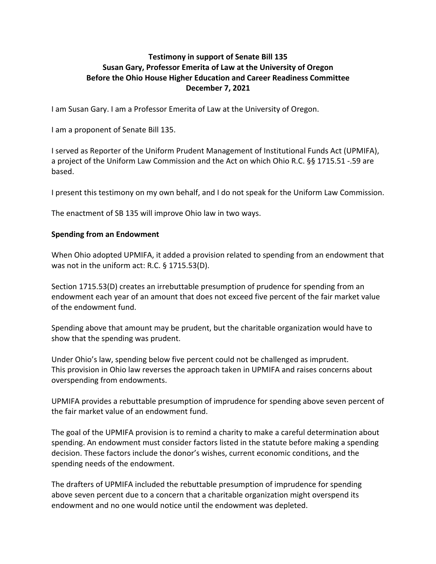## **Testimony in support of Senate Bill 135 Susan Gary, Professor Emerita of Law at the University of Oregon Before the Ohio House Higher Education and Career Readiness Committee December 7, 2021**

I am Susan Gary. I am a Professor Emerita of Law at the University of Oregon.

I am a proponent of Senate Bill 135.

I served as Reporter of the Uniform Prudent Management of Institutional Funds Act (UPMIFA), a project of the Uniform Law Commission and the Act on which Ohio R.C. §§ 1715.51 -.59 are based.

I present this testimony on my own behalf, and I do not speak for the Uniform Law Commission.

The enactment of SB 135 will improve Ohio law in two ways.

## **Spending from an Endowment**

When Ohio adopted UPMIFA, it added a provision related to spending from an endowment that was not in the uniform act: R.C. § 1715.53(D).

Section 1715.53(D) creates an irrebuttable presumption of prudence for spending from an endowment each year of an amount that does not exceed five percent of the fair market value of the endowment fund.

Spending above that amount may be prudent, but the charitable organization would have to show that the spending was prudent.

Under Ohio's law, spending below five percent could not be challenged as imprudent. This provision in Ohio law reverses the approach taken in UPMIFA and raises concerns about overspending from endowments.

UPMIFA provides a rebuttable presumption of imprudence for spending above seven percent of the fair market value of an endowment fund.

The goal of the UPMIFA provision is to remind a charity to make a careful determination about spending. An endowment must consider factors listed in the statute before making a spending decision. These factors include the donor's wishes, current economic conditions, and the spending needs of the endowment.

The drafters of UPMIFA included the rebuttable presumption of imprudence for spending above seven percent due to a concern that a charitable organization might overspend its endowment and no one would notice until the endowment was depleted.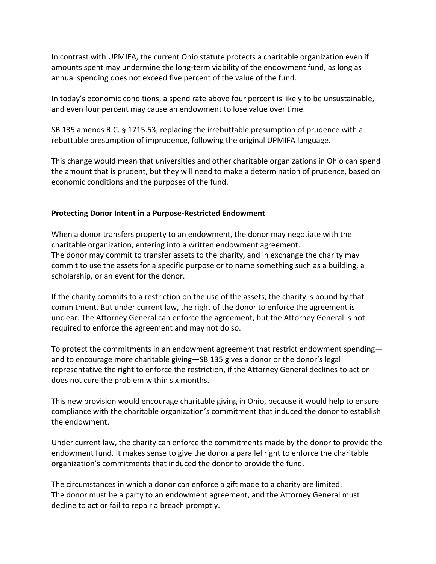In contrast with UPMIFA, the current Ohio statute protects a charitable organization even if amounts spent may undermine the long-term viability of the endowment fund, as long as annual spending does not exceed five percent of the value of the fund.

In today's economic conditions, a spend rate above four percent is likely to be unsustainable, and even four percent may cause an endowment to lose value over time.

SB 135 amends R.C. § 1715.53, replacing the irrebuttable presumption of prudence with a rebuttable presumption of imprudence, following the original UPMIFA language.

This change would mean that universities and other charitable organizations in Ohio can spend the amount that is prudent, but they will need to make a determination of prudence, based on economic conditions and the purposes of the fund.

## **Protecting Donor Intent in a Purpose-Restricted Endowment**

When a donor transfers property to an endowment, the donor may negotiate with the charitable organization, entering into a written endowment agreement. The donor may commit to transfer assets to the charity, and in exchange the charity may commit to use the assets for a specific purpose or to name something such as a building, a scholarship, or an event for the donor.

If the charity commits to a restriction on the use of the assets, the charity is bound by that commitment. But under current law, the right of the donor to enforce the agreement is unclear. The Attorney General can enforce the agreement, but the Attorney General is not required to enforce the agreement and may not do so.

To protect the commitments in an endowment agreement that restrict endowment spending and to encourage more charitable giving—SB 135 gives a donor or the donor's legal representative the right to enforce the restriction, if the Attorney General declines to act or does not cure the problem within six months.

This new provision would encourage charitable giving in Ohio, because it would help to ensure compliance with the charitable organization's commitment that induced the donor to establish the endowment.

Under current law, the charity can enforce the commitments made by the donor to provide the endowment fund. It makes sense to give the donor a parallel right to enforce the charitable organization's commitments that induced the donor to provide the fund.

The circumstances in which a donor can enforce a gift made to a charity are limited. The donor must be a party to an endowment agreement, and the Attorney General must decline to act or fail to repair a breach promptly.